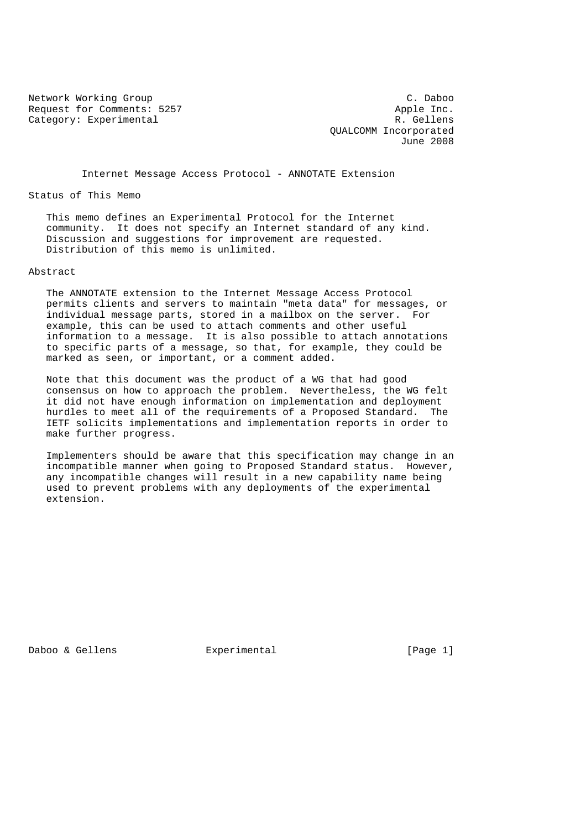Network Working Group C. Daboo<br>
Request for Comments: 5257 Apple Inc. Request for Comments: 5257 Category: Experimental R. Gellens

 QUALCOMM Incorporated June 2008

Internet Message Access Protocol - ANNOTATE Extension

Status of This Memo

 This memo defines an Experimental Protocol for the Internet community. It does not specify an Internet standard of any kind. Discussion and suggestions for improvement are requested. Distribution of this memo is unlimited.

### Abstract

 The ANNOTATE extension to the Internet Message Access Protocol permits clients and servers to maintain "meta data" for messages, or individual message parts, stored in a mailbox on the server. For example, this can be used to attach comments and other useful information to a message. It is also possible to attach annotations to specific parts of a message, so that, for example, they could be marked as seen, or important, or a comment added.

 Note that this document was the product of a WG that had good consensus on how to approach the problem. Nevertheless, the WG felt it did not have enough information on implementation and deployment hurdles to meet all of the requirements of a Proposed Standard. The IETF solicits implementations and implementation reports in order to make further progress.

 Implementers should be aware that this specification may change in an incompatible manner when going to Proposed Standard status. However, any incompatible changes will result in a new capability name being used to prevent problems with any deployments of the experimental extension.

Daboo & Gellens Experimental [Page 1]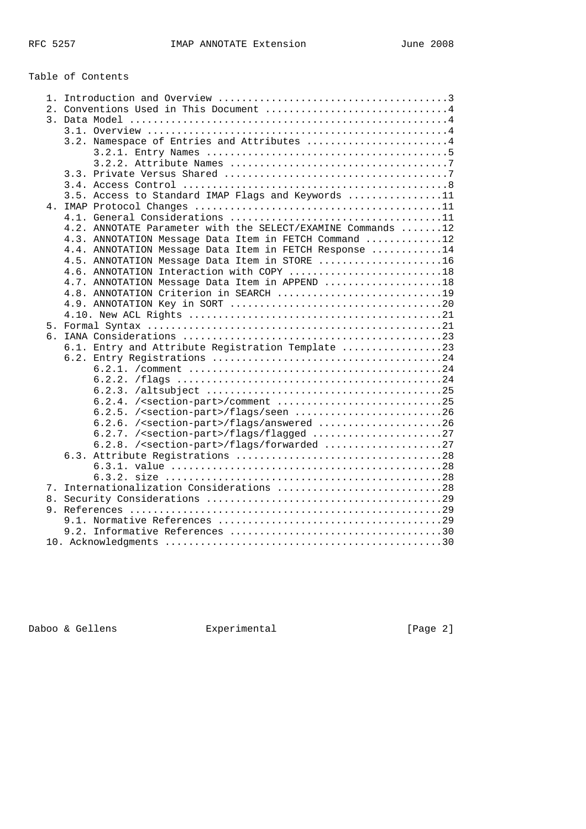# Table of Contents

| 3.2. Namespace of Entries and Attributes 4                  |
|-------------------------------------------------------------|
|                                                             |
|                                                             |
|                                                             |
|                                                             |
| 3.5. Access to Standard IMAP Flags and Keywords 11          |
|                                                             |
|                                                             |
| 4.2. ANNOTATE Parameter with the SELECT/EXAMINE Commands 12 |
| 4.3. ANNOTATION Message Data Item in FETCH Command 12       |
| 4.4. ANNOTATION Message Data Item in FETCH Response 14      |
| 4.5. ANNOTATION Message Data Item in STORE 16               |
| 4.6. ANNOTATION Interaction with COPY 18                    |
| 4.7. ANNOTATION Message Data Item in APPEND 18              |
| 4.8. ANNOTATION Criterion in SEARCH 19                      |
|                                                             |
|                                                             |
|                                                             |
|                                                             |
| 6.1. Entry and Attribute Registration Template 23           |
|                                                             |
|                                                             |
|                                                             |
|                                                             |
| 6.2.4. / <section-part>/comment 25</section-part>           |
| 6.2.5. / <section-part>/flags/seen 26</section-part>        |
| 6.2.6. / <section-part>/flags/answered 26</section-part>    |
|                                                             |
| 6.2.8. / <section-part>/flags/forwarded 27</section-part>   |
|                                                             |
|                                                             |
|                                                             |
| 7. Internationalization Considerations 28                   |
|                                                             |
|                                                             |
|                                                             |
|                                                             |
|                                                             |
|                                                             |

Daboo & Gellens **Experimental** Experimental [Page 2]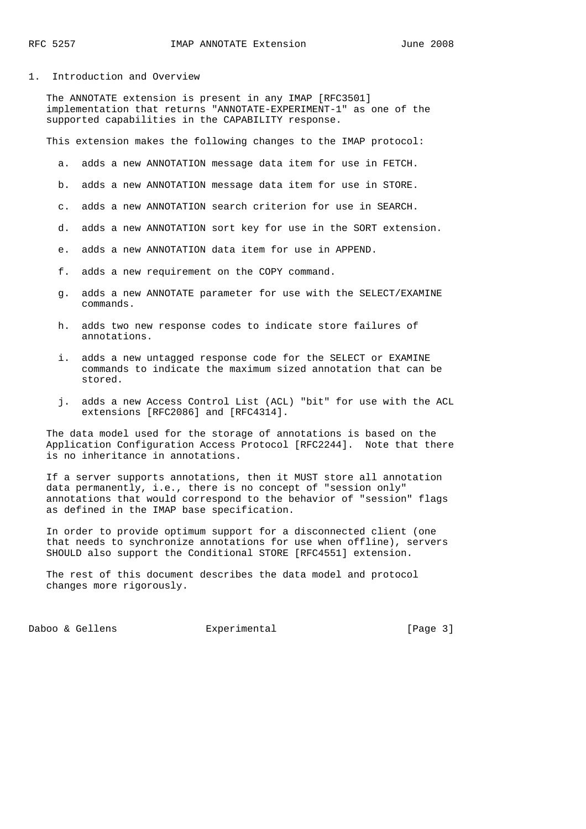1. Introduction and Overview

 The ANNOTATE extension is present in any IMAP [RFC3501] implementation that returns "ANNOTATE-EXPERIMENT-1" as one of the supported capabilities in the CAPABILITY response.

This extension makes the following changes to the IMAP protocol:

- a. adds a new ANNOTATION message data item for use in FETCH.
- b. adds a new ANNOTATION message data item for use in STORE.
- c. adds a new ANNOTATION search criterion for use in SEARCH.
- d. adds a new ANNOTATION sort key for use in the SORT extension.
- e. adds a new ANNOTATION data item for use in APPEND.
- f. adds a new requirement on the COPY command.
- g. adds a new ANNOTATE parameter for use with the SELECT/EXAMINE commands.
- h. adds two new response codes to indicate store failures of annotations.
- i. adds a new untagged response code for the SELECT or EXAMINE commands to indicate the maximum sized annotation that can be stored.
- j. adds a new Access Control List (ACL) "bit" for use with the ACL extensions [RFC2086] and [RFC4314].

 The data model used for the storage of annotations is based on the Application Configuration Access Protocol [RFC2244]. Note that there is no inheritance in annotations.

 If a server supports annotations, then it MUST store all annotation data permanently, i.e., there is no concept of "session only" annotations that would correspond to the behavior of "session" flags as defined in the IMAP base specification.

 In order to provide optimum support for a disconnected client (one that needs to synchronize annotations for use when offline), servers SHOULD also support the Conditional STORE [RFC4551] extension.

 The rest of this document describes the data model and protocol changes more rigorously.

Daboo & Gellens Experimental (Page 3)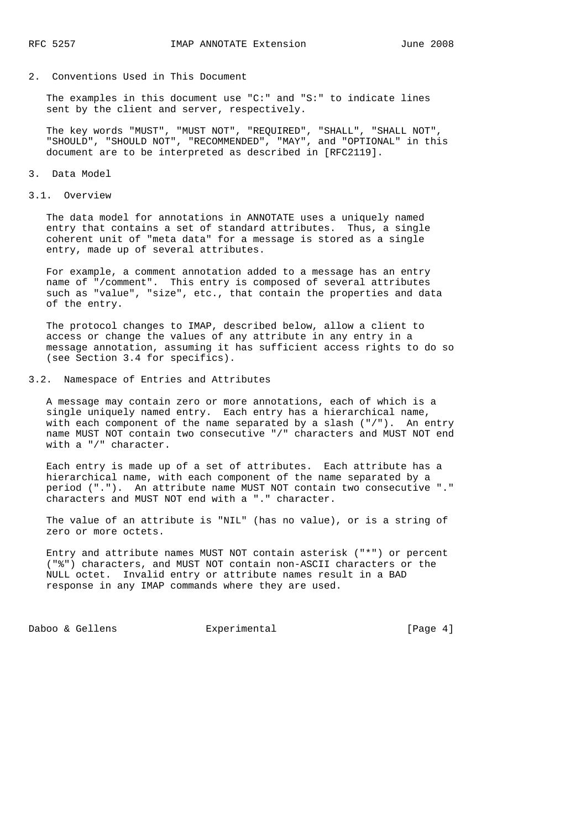### 2. Conventions Used in This Document

 The examples in this document use "C:" and "S:" to indicate lines sent by the client and server, respectively.

 The key words "MUST", "MUST NOT", "REQUIRED", "SHALL", "SHALL NOT", "SHOULD", "SHOULD NOT", "RECOMMENDED", "MAY", and "OPTIONAL" in this document are to be interpreted as described in [RFC2119].

#### 3. Data Model

#### 3.1. Overview

 The data model for annotations in ANNOTATE uses a uniquely named entry that contains a set of standard attributes. Thus, a single coherent unit of "meta data" for a message is stored as a single entry, made up of several attributes.

 For example, a comment annotation added to a message has an entry name of "/comment". This entry is composed of several attributes such as "value", "size", etc., that contain the properties and data of the entry.

 The protocol changes to IMAP, described below, allow a client to access or change the values of any attribute in any entry in a message annotation, assuming it has sufficient access rights to do so (see Section 3.4 for specifics).

### 3.2. Namespace of Entries and Attributes

 A message may contain zero or more annotations, each of which is a single uniquely named entry. Each entry has a hierarchical name, with each component of the name separated by a slash ("/"). An entry name MUST NOT contain two consecutive "/" characters and MUST NOT end with a "/" character.

 Each entry is made up of a set of attributes. Each attribute has a hierarchical name, with each component of the name separated by a period ("."). An attribute name MUST NOT contain two consecutive "." characters and MUST NOT end with a "." character.

 The value of an attribute is "NIL" (has no value), or is a string of zero or more octets.

 Entry and attribute names MUST NOT contain asterisk ("\*") or percent ("%") characters, and MUST NOT contain non-ASCII characters or the NULL octet. Invalid entry or attribute names result in a BAD response in any IMAP commands where they are used.

Daboo & Gellens **Experimental** [Page 4]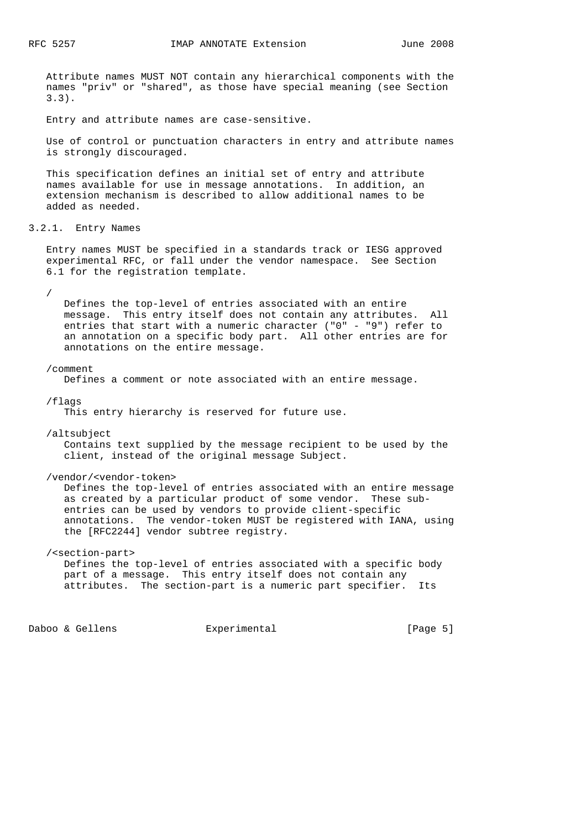Attribute names MUST NOT contain any hierarchical components with the names "priv" or "shared", as those have special meaning (see Section 3.3).

Entry and attribute names are case-sensitive.

 Use of control or punctuation characters in entry and attribute names is strongly discouraged.

 This specification defines an initial set of entry and attribute names available for use in message annotations. In addition, an extension mechanism is described to allow additional names to be added as needed.

3.2.1. Entry Names

 Entry names MUST be specified in a standards track or IESG approved experimental RFC, or fall under the vendor namespace. See Section 6.1 for the registration template.

/

 Defines the top-level of entries associated with an entire message. This entry itself does not contain any attributes. All entries that start with a numeric character ("0" - "9") refer to an annotation on a specific body part. All other entries are for annotations on the entire message.

### /comment

Defines a comment or note associated with an entire message.

/flags

This entry hierarchy is reserved for future use.

/altsubject

 Contains text supplied by the message recipient to be used by the client, instead of the original message Subject.

/vendor/<vendor-token>

 Defines the top-level of entries associated with an entire message as created by a particular product of some vendor. These sub entries can be used by vendors to provide client-specific annotations. The vendor-token MUST be registered with IANA, using the [RFC2244] vendor subtree registry.

# /<section-part>

 Defines the top-level of entries associated with a specific body part of a message. This entry itself does not contain any attributes. The section-part is a numeric part specifier. Its

Daboo & Gellens **Experimental** [Page 5]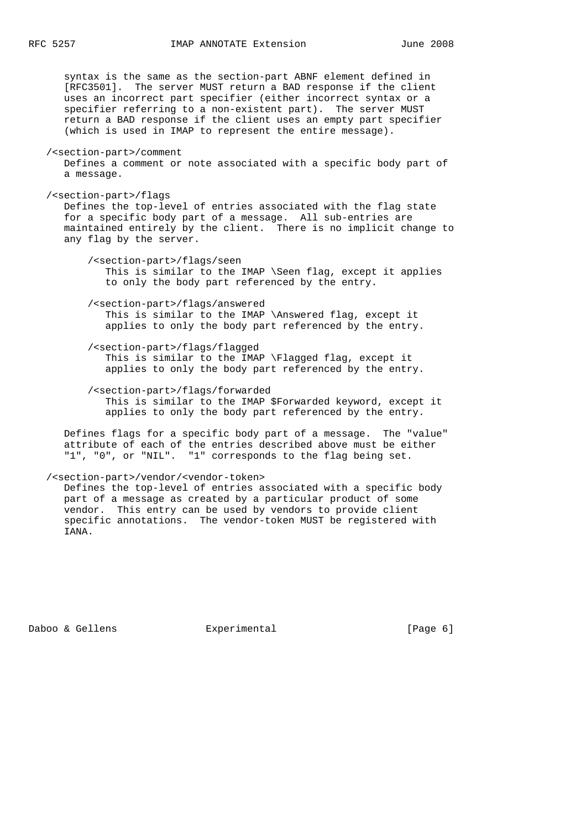syntax is the same as the section-part ABNF element defined in [RFC3501]. The server MUST return a BAD response if the client uses an incorrect part specifier (either incorrect syntax or a specifier referring to a non-existent part). The server MUST return a BAD response if the client uses an empty part specifier (which is used in IMAP to represent the entire message). /<section-part>/comment Defines a comment or note associated with a specific body part of a message. /<section-part>/flags Defines the top-level of entries associated with the flag state for a specific body part of a message. All sub-entries are maintained entirely by the client. There is no implicit change to any flag by the server. /<section-part>/flags/seen This is similar to the IMAP \Seen flag, except it applies to only the body part referenced by the entry. /<section-part>/flags/answered This is similar to the IMAP \Answered flag, except it applies to only the body part referenced by the entry. /<section-part>/flags/flagged This is similar to the IMAP \Flagged flag, except it applies to only the body part referenced by the entry. /<section-part>/flags/forwarded This is similar to the IMAP \$Forwarded keyword, except it applies to only the body part referenced by the entry. Defines flags for a specific body part of a message. The "value"

 attribute of each of the entries described above must be either "1", "0", or "NIL". "1" corresponds to the flag being set.

### /<section-part>/vendor/<vendor-token>

 Defines the top-level of entries associated with a specific body part of a message as created by a particular product of some vendor. This entry can be used by vendors to provide client specific annotations. The vendor-token MUST be registered with IANA.

Daboo & Gellens **Experimental** [Page 6]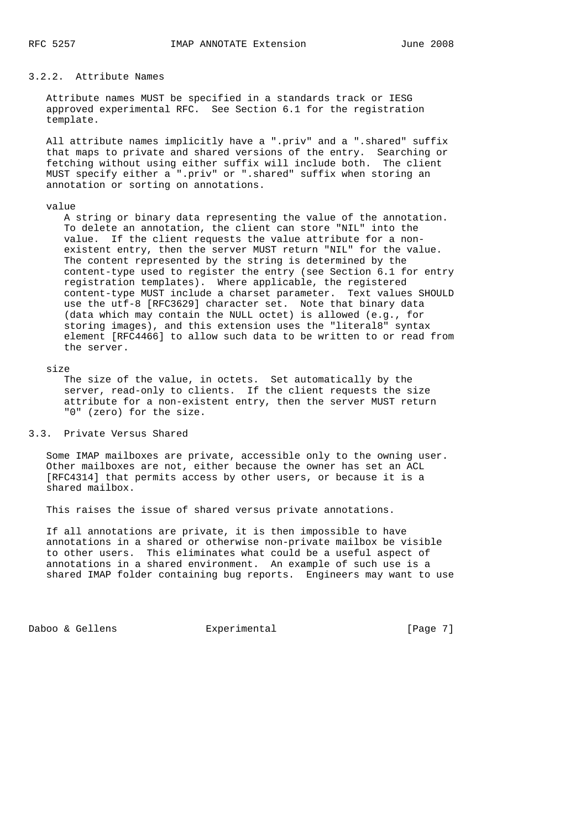# 3.2.2. Attribute Names

 Attribute names MUST be specified in a standards track or IESG approved experimental RFC. See Section 6.1 for the registration template.

 All attribute names implicitly have a ".priv" and a ".shared" suffix that maps to private and shared versions of the entry. Searching or fetching without using either suffix will include both. The client MUST specify either a ".priv" or ".shared" suffix when storing an annotation or sorting on annotations.

#### value

 A string or binary data representing the value of the annotation. To delete an annotation, the client can store "NIL" into the value. If the client requests the value attribute for a non existent entry, then the server MUST return "NIL" for the value. The content represented by the string is determined by the content-type used to register the entry (see Section 6.1 for entry registration templates). Where applicable, the registered content-type MUST include a charset parameter. Text values SHOULD use the utf-8 [RFC3629] character set. Note that binary data (data which may contain the NULL octet) is allowed (e.g., for storing images), and this extension uses the "literal8" syntax element [RFC4466] to allow such data to be written to or read from the server.

### size

 The size of the value, in octets. Set automatically by the server, read-only to clients. If the client requests the size attribute for a non-existent entry, then the server MUST return "0" (zero) for the size.

# 3.3. Private Versus Shared

 Some IMAP mailboxes are private, accessible only to the owning user. Other mailboxes are not, either because the owner has set an ACL [RFC4314] that permits access by other users, or because it is a shared mailbox.

This raises the issue of shared versus private annotations.

 If all annotations are private, it is then impossible to have annotations in a shared or otherwise non-private mailbox be visible to other users. This eliminates what could be a useful aspect of annotations in a shared environment. An example of such use is a shared IMAP folder containing bug reports. Engineers may want to use

Daboo & Gellens **Experimental** [Page 7]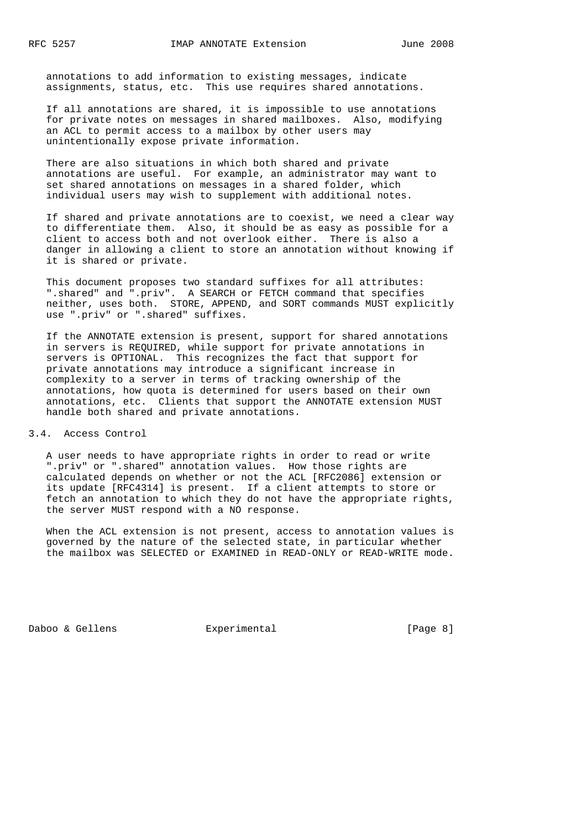annotations to add information to existing messages, indicate assignments, status, etc. This use requires shared annotations.

 If all annotations are shared, it is impossible to use annotations for private notes on messages in shared mailboxes. Also, modifying an ACL to permit access to a mailbox by other users may unintentionally expose private information.

 There are also situations in which both shared and private annotations are useful. For example, an administrator may want to set shared annotations on messages in a shared folder, which individual users may wish to supplement with additional notes.

 If shared and private annotations are to coexist, we need a clear way to differentiate them. Also, it should be as easy as possible for a client to access both and not overlook either. There is also a danger in allowing a client to store an annotation without knowing if it is shared or private.

 This document proposes two standard suffixes for all attributes: ".shared" and ".priv". A SEARCH or FETCH command that specifies neither, uses both. STORE, APPEND, and SORT commands MUST explicitly use ".priv" or ".shared" suffixes.

 If the ANNOTATE extension is present, support for shared annotations in servers is REQUIRED, while support for private annotations in servers is OPTIONAL. This recognizes the fact that support for private annotations may introduce a significant increase in complexity to a server in terms of tracking ownership of the annotations, how quota is determined for users based on their own annotations, etc. Clients that support the ANNOTATE extension MUST handle both shared and private annotations.

3.4. Access Control

 A user needs to have appropriate rights in order to read or write ".priv" or ".shared" annotation values. How those rights are calculated depends on whether or not the ACL [RFC2086] extension or its update [RFC4314] is present. If a client attempts to store or fetch an annotation to which they do not have the appropriate rights, the server MUST respond with a NO response.

 When the ACL extension is not present, access to annotation values is governed by the nature of the selected state, in particular whether the mailbox was SELECTED or EXAMINED in READ-ONLY or READ-WRITE mode.

Daboo & Gellens **Experimental** [Page 8]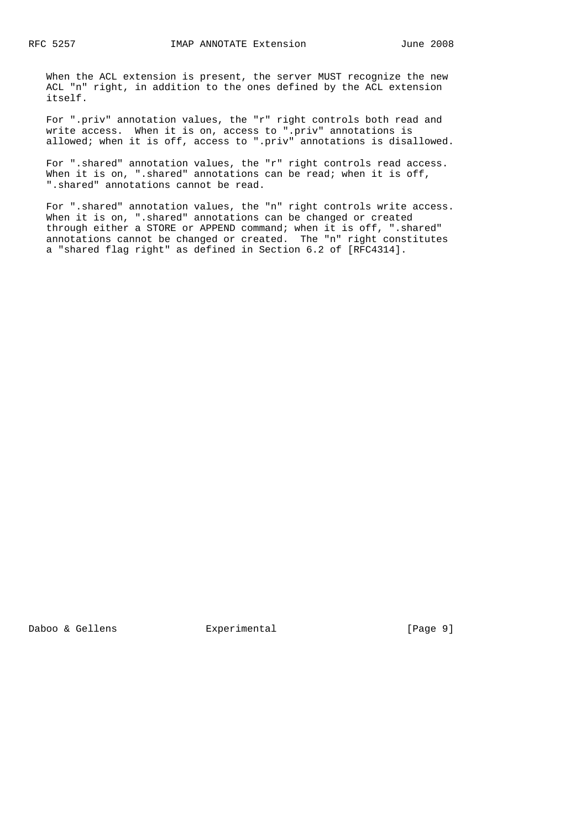When the ACL extension is present, the server MUST recognize the new ACL "n" right, in addition to the ones defined by the ACL extension itself.

 For ".priv" annotation values, the "r" right controls both read and write access. When it is on, access to ".priv" annotations is allowed; when it is off, access to ".priv" annotations is disallowed.

 For ".shared" annotation values, the "r" right controls read access. When it is on, ".shared" annotations can be read; when it is off, ".shared" annotations cannot be read.

 For ".shared" annotation values, the "n" right controls write access. When it is on, ".shared" annotations can be changed or created through either a STORE or APPEND command; when it is off, ".shared" annotations cannot be changed or created. The "n" right constitutes a "shared flag right" as defined in Section 6.2 of [RFC4314].

Daboo & Gellens **Experimental** Experimental [Page 9]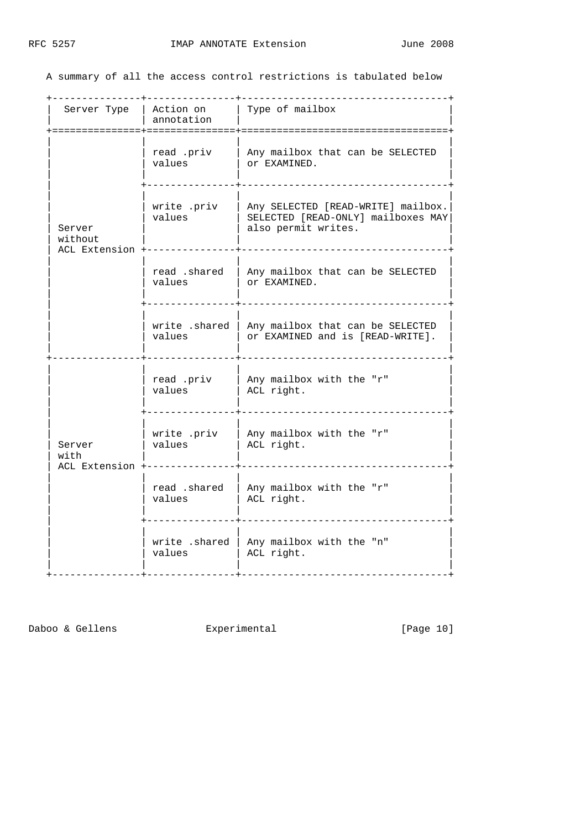A summary of all the access control restrictions is tabulated below

|                                      | Server Type   Action on  <br>annotation<br>. = = = = = = = = = = = = | Type of mailbox                                                                                 |
|--------------------------------------|----------------------------------------------------------------------|-------------------------------------------------------------------------------------------------|
|                                      | read .priv<br>values                                                 | Any mailbox that can be SELECTED<br>Or EXAMINED.                                                |
| Server<br>without<br>ACL Extension - | write .priv<br>values                                                | Any SELECTED [READ-WRITE] mailbox.<br>SELECTED [READ-ONLY] mailboxes MAY<br>also permit writes. |
|                                      | read .shared<br>values                                               | Any mailbox that can be SELECTED<br>OY EXAMINED.                                                |
|                                      | write .shared  <br>values                                            | Any mailbox that can be SELECTED<br>or EXAMINED and is [READ-WRITE].                            |
|                                      | read .priv<br>values                                                 | Any mailbox with the "r"<br>ACL right.                                                          |
| Server<br>with<br>ACL Extension      | write .priv<br>values                                                | Any mailbox with the "r"<br>ACL right.                                                          |
|                                      | read .shared<br>values                                               | Any mailbox with the "r"<br>ACL right.                                                          |
|                                      | write .shared<br>values                                              | Any mailbox with the "n"<br>ACL right.                                                          |

Daboo & Gellens Experimental [Page 10]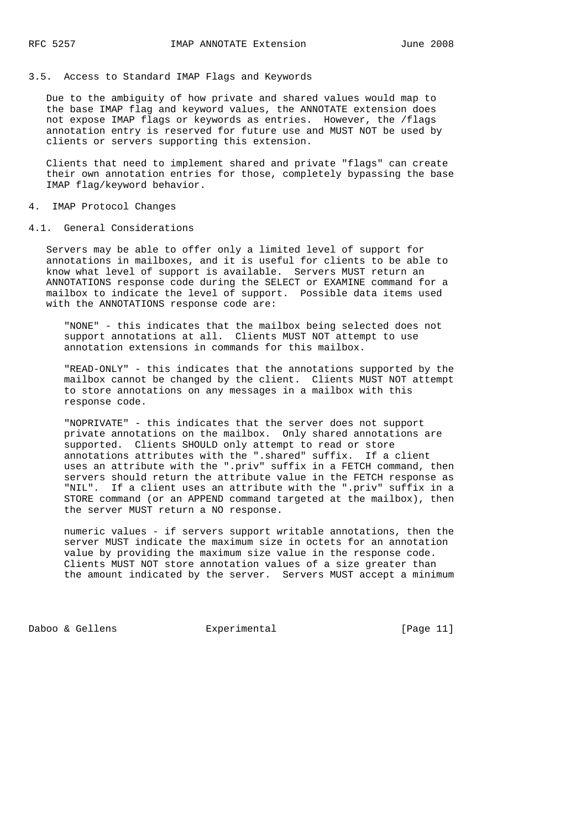# 3.5. Access to Standard IMAP Flags and Keywords

 Due to the ambiguity of how private and shared values would map to the base IMAP flag and keyword values, the ANNOTATE extension does not expose IMAP flags or keywords as entries. However, the /flags annotation entry is reserved for future use and MUST NOT be used by clients or servers supporting this extension.

 Clients that need to implement shared and private "flags" can create their own annotation entries for those, completely bypassing the base IMAP flag/keyword behavior.

#### 4. IMAP Protocol Changes

### 4.1. General Considerations

 Servers may be able to offer only a limited level of support for annotations in mailboxes, and it is useful for clients to be able to know what level of support is available. Servers MUST return an ANNOTATIONS response code during the SELECT or EXAMINE command for a mailbox to indicate the level of support. Possible data items used with the ANNOTATIONS response code are:

 "NONE" - this indicates that the mailbox being selected does not support annotations at all. Clients MUST NOT attempt to use annotation extensions in commands for this mailbox.

 "READ-ONLY" - this indicates that the annotations supported by the mailbox cannot be changed by the client. Clients MUST NOT attempt to store annotations on any messages in a mailbox with this response code.

 "NOPRIVATE" - this indicates that the server does not support private annotations on the mailbox. Only shared annotations are supported. Clients SHOULD only attempt to read or store annotations attributes with the ".shared" suffix. If a client uses an attribute with the ".priv" suffix in a FETCH command, then servers should return the attribute value in the FETCH response as "NIL". If a client uses an attribute with the ".priv" suffix in a STORE command (or an APPEND command targeted at the mailbox), then the server MUST return a NO response.

 numeric values - if servers support writable annotations, then the server MUST indicate the maximum size in octets for an annotation value by providing the maximum size value in the response code. Clients MUST NOT store annotation values of a size greater than the amount indicated by the server. Servers MUST accept a minimum

Daboo & Gellens **Experimental** [Page 11]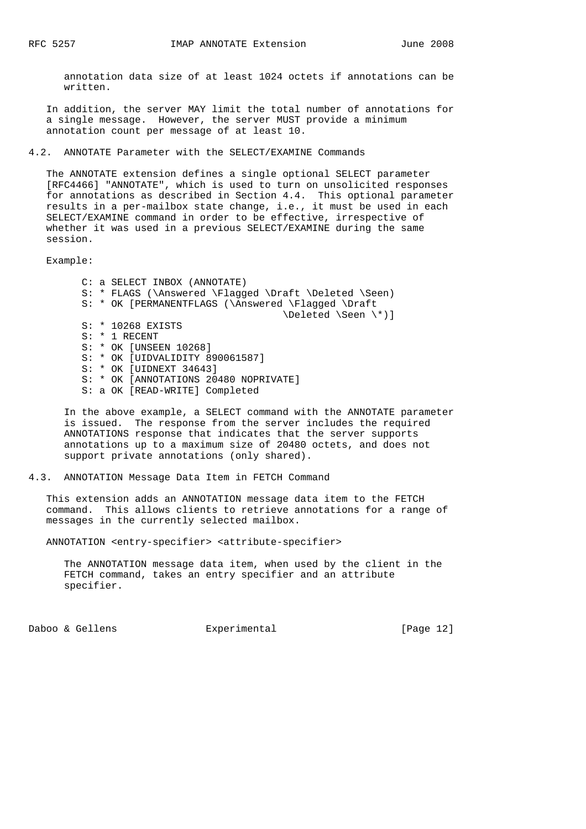annotation data size of at least 1024 octets if annotations can be written.

 In addition, the server MAY limit the total number of annotations for a single message. However, the server MUST provide a minimum annotation count per message of at least 10.

4.2. ANNOTATE Parameter with the SELECT/EXAMINE Commands

 The ANNOTATE extension defines a single optional SELECT parameter [RFC4466] "ANNOTATE", which is used to turn on unsolicited responses for annotations as described in Section 4.4. This optional parameter results in a per-mailbox state change, i.e., it must be used in each SELECT/EXAMINE command in order to be effective, irrespective of whether it was used in a previous SELECT/EXAMINE during the same session.

Example:

 C: a SELECT INBOX (ANNOTATE) S: \* FLAGS (\Answered \Flagged \Draft \Deleted \Seen) S: \* OK [PERMANENTFLAGS (\Answered \Flagged \Draft \Deleted \Seen \\*)] S: \* 10268 EXISTS S: \* 1 RECENT S: \* OK [UNSEEN 10268] S: \* OK [UIDVALIDITY 890061587] S: \* OK [UIDNEXT 34643] S: \* OK [ANNOTATIONS 20480 NOPRIVATE] S: a OK [READ-WRITE] Completed

 In the above example, a SELECT command with the ANNOTATE parameter is issued. The response from the server includes the required ANNOTATIONS response that indicates that the server supports annotations up to a maximum size of 20480 octets, and does not support private annotations (only shared).

4.3. ANNOTATION Message Data Item in FETCH Command

 This extension adds an ANNOTATION message data item to the FETCH command. This allows clients to retrieve annotations for a range of messages in the currently selected mailbox.

ANNOTATION <entry-specifier> <attribute-specifier>

 The ANNOTATION message data item, when used by the client in the FETCH command, takes an entry specifier and an attribute specifier.

Daboo & Gellens **Experimental** [Page 12]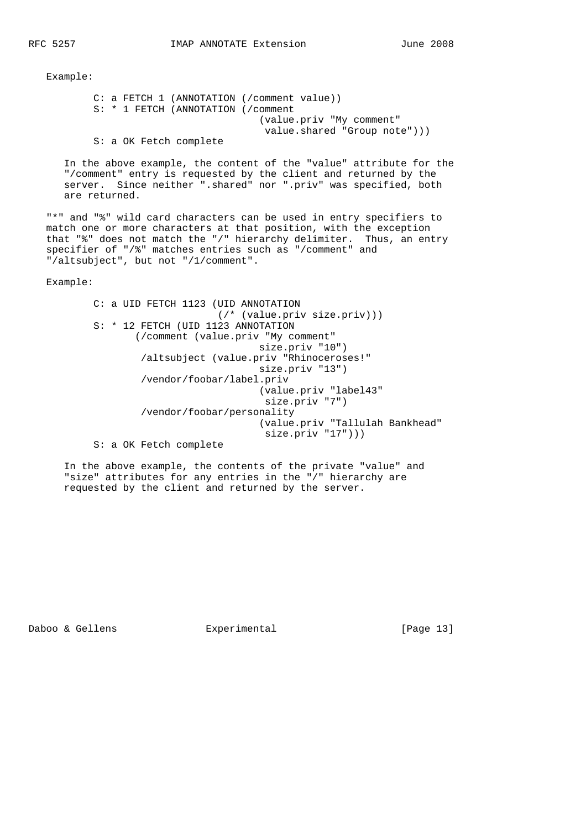C: a FETCH 1 (ANNOTATION (/comment value)) S: \* 1 FETCH (ANNOTATION (/comment (value.priv "My comment" value.shared "Group note"))) S: a OK Fetch complete

 In the above example, the content of the "value" attribute for the "/comment" entry is requested by the client and returned by the server. Since neither ".shared" nor ".priv" was specified, both are returned.

 "\*" and "%" wild card characters can be used in entry specifiers to match one or more characters at that position, with the exception that "%" does not match the "/" hierarchy delimiter. Thus, an entry specifier of "/%" matches entries such as "/comment" and "/altsubject", but not "/1/comment".

Example:

 C: a UID FETCH 1123 (UID ANNOTATION (/\* (value.priv size.priv))) S: \* 12 FETCH (UID 1123 ANNOTATION (/comment (value.priv "My comment" size.priv "10") /altsubject (value.priv "Rhinoceroses!" size.priv "13") /vendor/foobar/label.priv (value.priv "label43" size.priv "7") /vendor/foobar/personality (value.priv "Tallulah Bankhead" size.priv "17"))) S: a OK Fetch complete

 In the above example, the contents of the private "value" and "size" attributes for any entries in the "/" hierarchy are requested by the client and returned by the server.

Daboo & Gellens **Experimental** [Page 13]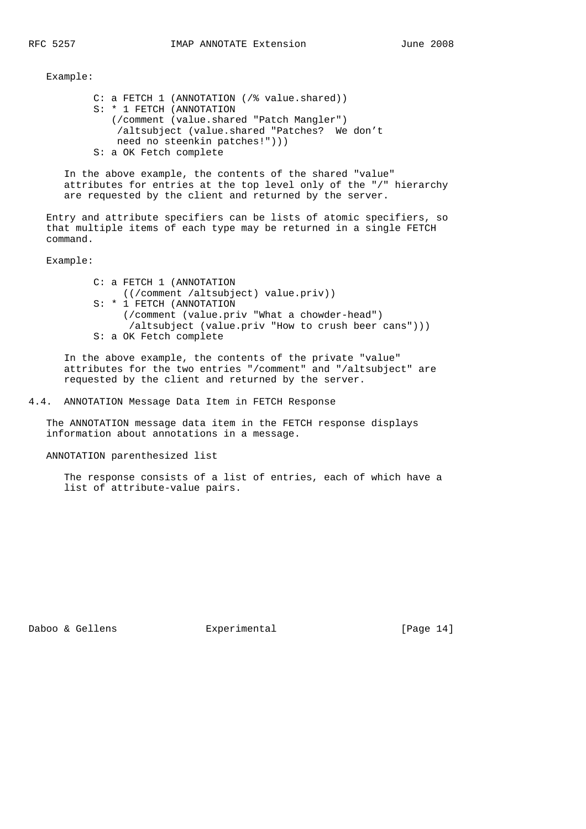C: a FETCH 1 (ANNOTATION (/% value.shared)) S: \* 1 FETCH (ANNOTATION (/comment (value.shared "Patch Mangler") /altsubject (value.shared "Patches? We don't need no steenkin patches!"))) S: a OK Fetch complete

 In the above example, the contents of the shared "value" attributes for entries at the top level only of the "/" hierarchy are requested by the client and returned by the server.

 Entry and attribute specifiers can be lists of atomic specifiers, so that multiple items of each type may be returned in a single FETCH command.

Example:

 C: a FETCH 1 (ANNOTATION ((/comment /altsubject) value.priv)) S: \* 1 FETCH (ANNOTATION (/comment (value.priv "What a chowder-head") /altsubject (value.priv "How to crush beer cans"))) S: a OK Fetch complete

 In the above example, the contents of the private "value" attributes for the two entries "/comment" and "/altsubject" are requested by the client and returned by the server.

4.4. ANNOTATION Message Data Item in FETCH Response

 The ANNOTATION message data item in the FETCH response displays information about annotations in a message.

ANNOTATION parenthesized list

 The response consists of a list of entries, each of which have a list of attribute-value pairs.

Daboo & Gellens **Experimental** [Page 14]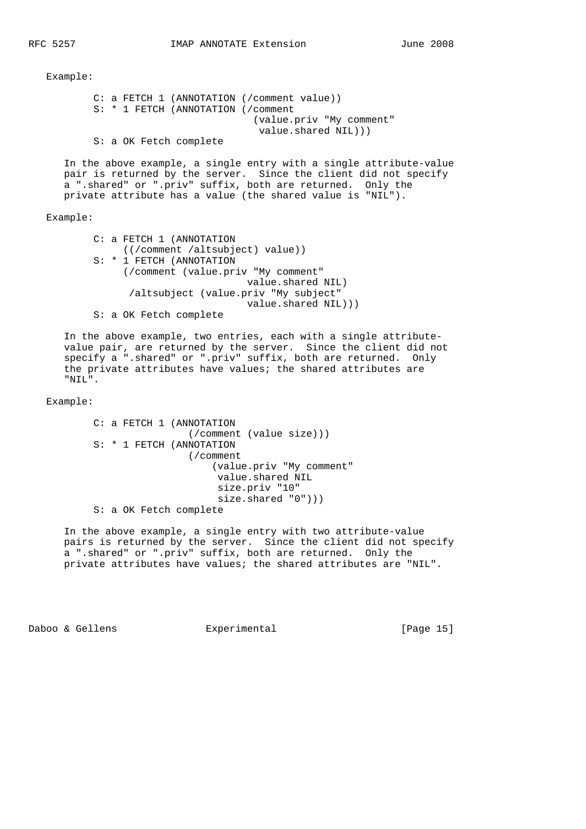```
 C: a FETCH 1 (ANNOTATION (/comment value))
 S: * 1 FETCH (ANNOTATION (/comment
                           (value.priv "My comment"
                             value.shared NIL)))
 S: a OK Fetch complete
```
 In the above example, a single entry with a single attribute-value pair is returned by the server. Since the client did not specify a ".shared" or ".priv" suffix, both are returned. Only the private attribute has a value (the shared value is "NIL").

Example:

 C: a FETCH 1 (ANNOTATION ((/comment /altsubject) value)) S: \* 1 FETCH (ANNOTATION (/comment (value.priv "My comment" value.shared NIL) /altsubject (value.priv "My subject" value.shared NIL))) S: a OK Fetch complete

 In the above example, two entries, each with a single attribute value pair, are returned by the server. Since the client did not specify a ".shared" or ".priv" suffix, both are returned. Only the private attributes have values; the shared attributes are "NIL".

Example:

 C: a FETCH 1 (ANNOTATION (/comment (value size))) S: \* 1 FETCH (ANNOTATION (/comment (value.priv "My comment" value.shared NIL size.priv "10" size.shared "0"))) S: a OK Fetch complete

 In the above example, a single entry with two attribute-value pairs is returned by the server. Since the client did not specify a ".shared" or ".priv" suffix, both are returned. Only the private attributes have values; the shared attributes are "NIL".

Daboo & Gellens **Experimental** [Page 15]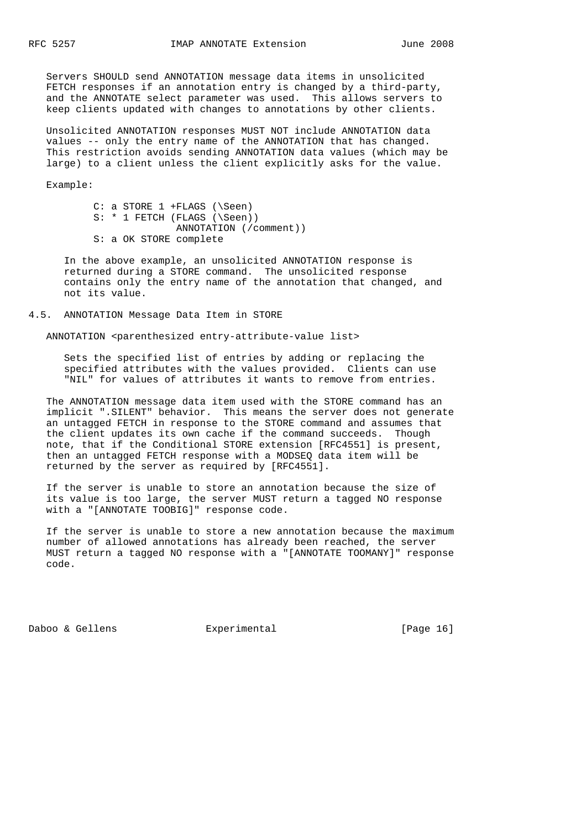Servers SHOULD send ANNOTATION message data items in unsolicited FETCH responses if an annotation entry is changed by a third-party, and the ANNOTATE select parameter was used. This allows servers to keep clients updated with changes to annotations by other clients.

 Unsolicited ANNOTATION responses MUST NOT include ANNOTATION data values -- only the entry name of the ANNOTATION that has changed. This restriction avoids sending ANNOTATION data values (which may be large) to a client unless the client explicitly asks for the value.

Example:

|  | $C: a STORE 1 + FLAGS (Seen)$  |
|--|--------------------------------|
|  | $S: * 1$ FETCH (FLAGS (\Seen)) |
|  | ANNOTATION (/comment))         |
|  | S: a OK STORE complete         |

 In the above example, an unsolicited ANNOTATION response is returned during a STORE command. The unsolicited response contains only the entry name of the annotation that changed, and not its value.

4.5. ANNOTATION Message Data Item in STORE

ANNOTATION <parenthesized entry-attribute-value list>

 Sets the specified list of entries by adding or replacing the specified attributes with the values provided. Clients can use "NIL" for values of attributes it wants to remove from entries.

 The ANNOTATION message data item used with the STORE command has an implicit ".SILENT" behavior. This means the server does not generate an untagged FETCH in response to the STORE command and assumes that the client updates its own cache if the command succeeds. Though note, that if the Conditional STORE extension [RFC4551] is present, then an untagged FETCH response with a MODSEQ data item will be returned by the server as required by [RFC4551].

 If the server is unable to store an annotation because the size of its value is too large, the server MUST return a tagged NO response with a "[ANNOTATE TOOBIG]" response code.

 If the server is unable to store a new annotation because the maximum number of allowed annotations has already been reached, the server MUST return a tagged NO response with a "[ANNOTATE TOOMANY]" response code.

Daboo & Gellens **Experimental** [Page 16]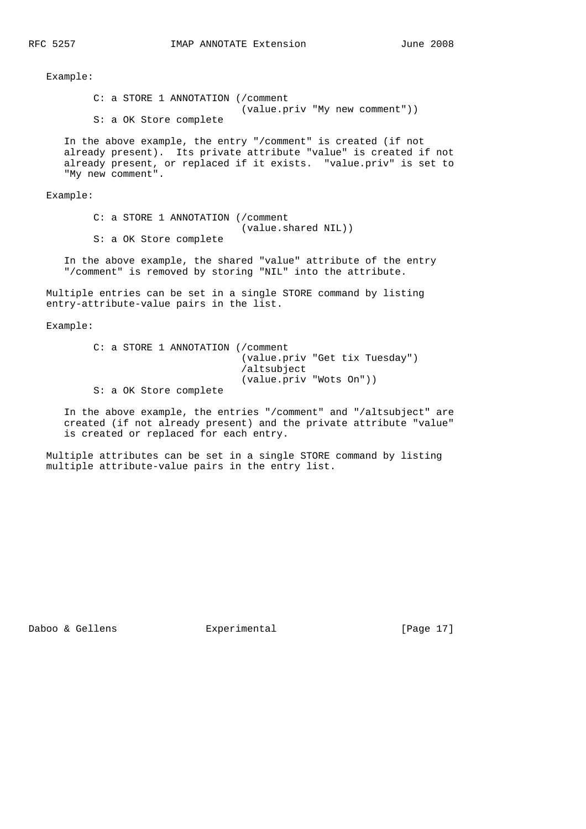C: a STORE 1 ANNOTATION (/comment (value.priv "My new comment")) S: a OK Store complete In the above example, the entry "/comment" is created (if not already present). Its private attribute "value" is created if not already present, or replaced if it exists. "value.priv" is set to "My new comment".

Example:

 C: a STORE 1 ANNOTATION (/comment (value.shared NIL)) S: a OK Store complete

 In the above example, the shared "value" attribute of the entry "/comment" is removed by storing "NIL" into the attribute.

 Multiple entries can be set in a single STORE command by listing entry-attribute-value pairs in the list.

Example:

 C: a STORE 1 ANNOTATION (/comment (value.priv "Get tix Tuesday") /altsubject (value.priv "Wots On")) S: a OK Store complete

 In the above example, the entries "/comment" and "/altsubject" are created (if not already present) and the private attribute "value" is created or replaced for each entry.

 Multiple attributes can be set in a single STORE command by listing multiple attribute-value pairs in the entry list.

Daboo & Gellens **Experimental** [Page 17]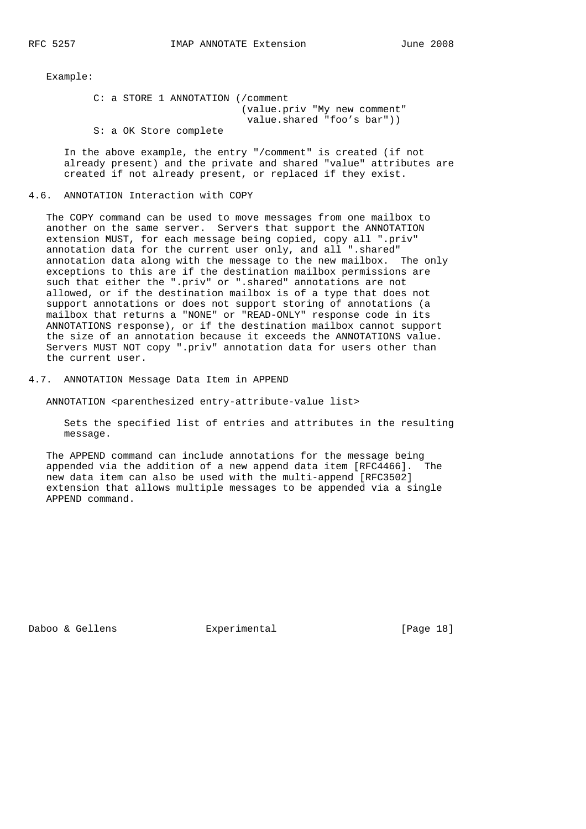C: a STORE 1 ANNOTATION (/comment (value.priv "My new comment" value.shared "foo's bar")) S: a OK Store complete

 In the above example, the entry "/comment" is created (if not already present) and the private and shared "value" attributes are created if not already present, or replaced if they exist.

### 4.6. ANNOTATION Interaction with COPY

 The COPY command can be used to move messages from one mailbox to another on the same server. Servers that support the ANNOTATION extension MUST, for each message being copied, copy all ".priv" annotation data for the current user only, and all ".shared" annotation data along with the message to the new mailbox. The only exceptions to this are if the destination mailbox permissions are such that either the ".priv" or ".shared" annotations are not allowed, or if the destination mailbox is of a type that does not support annotations or does not support storing of annotations (a mailbox that returns a "NONE" or "READ-ONLY" response code in its ANNOTATIONS response), or if the destination mailbox cannot support the size of an annotation because it exceeds the ANNOTATIONS value. Servers MUST NOT copy ".priv" annotation data for users other than the current user.

4.7. ANNOTATION Message Data Item in APPEND

ANNOTATION <parenthesized entry-attribute-value list>

 Sets the specified list of entries and attributes in the resulting message.

 The APPEND command can include annotations for the message being appended via the addition of a new append data item [RFC4466]. The new data item can also be used with the multi-append [RFC3502] extension that allows multiple messages to be appended via a single APPEND command.

Daboo & Gellens **Experimental** [Page 18]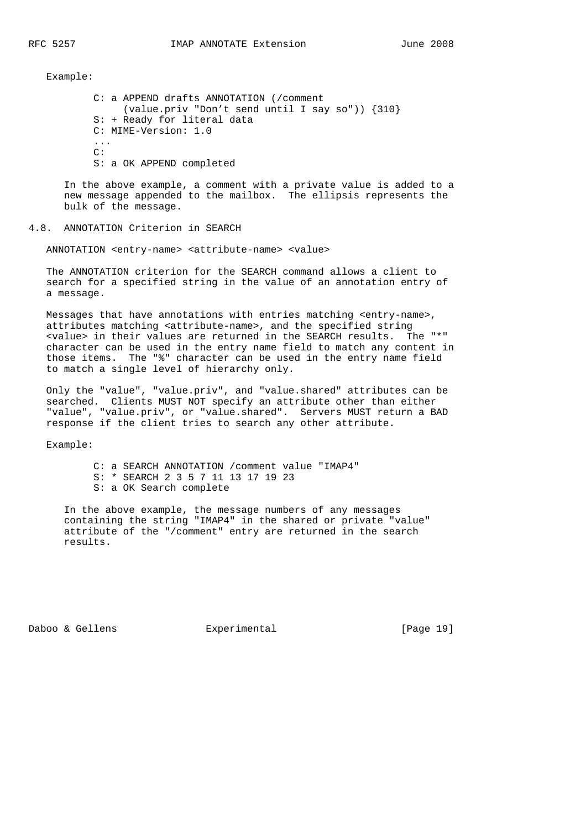C: a APPEND drafts ANNOTATION (/comment (value.priv "Don't send until I say so")) {310} S: + Ready for literal data C: MIME-Version: 1.0 ...  $\cap$ : S: a OK APPEND completed

 In the above example, a comment with a private value is added to a new message appended to the mailbox. The ellipsis represents the bulk of the message.

## 4.8. ANNOTATION Criterion in SEARCH

ANNOTATION <entry-name> <attribute-name> <value>

 The ANNOTATION criterion for the SEARCH command allows a client to search for a specified string in the value of an annotation entry of a message.

 Messages that have annotations with entries matching <entry-name>, attributes matching <attribute-name>, and the specified string <value> in their values are returned in the SEARCH results. The "\*" character can be used in the entry name field to match any content in those items. The "%" character can be used in the entry name field to match a single level of hierarchy only.

 Only the "value", "value.priv", and "value.shared" attributes can be searched. Clients MUST NOT specify an attribute other than either "value", "value.priv", or "value.shared". Servers MUST return a BAD response if the client tries to search any other attribute.

Example:

 C: a SEARCH ANNOTATION /comment value "IMAP4" S: \* SEARCH 2 3 5 7 11 13 17 19 23 S: a OK Search complete

 In the above example, the message numbers of any messages containing the string "IMAP4" in the shared or private "value" attribute of the "/comment" entry are returned in the search results.

Daboo & Gellens **Experimental** [Page 19]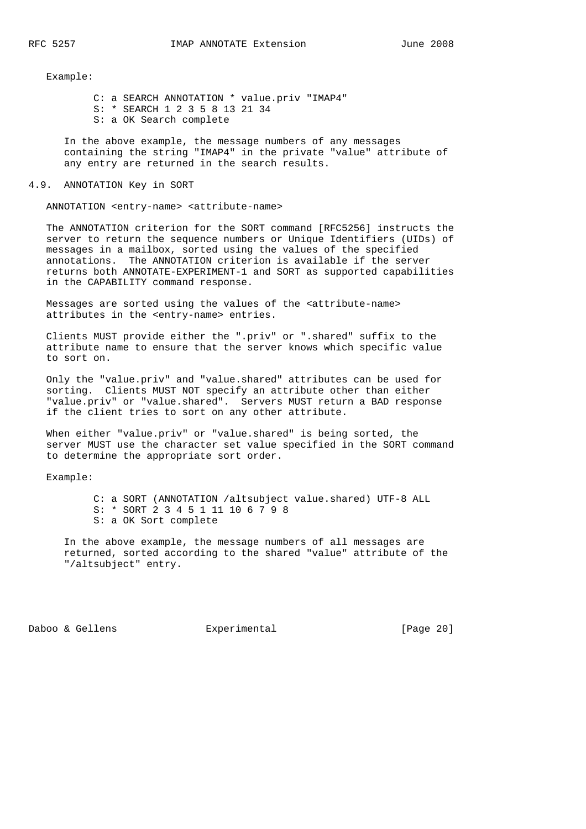C: a SEARCH ANNOTATION \* value.priv "IMAP4" S: \* SEARCH 1 2 3 5 8 13 21 34 S: a OK Search complete

 In the above example, the message numbers of any messages containing the string "IMAP4" in the private "value" attribute of any entry are returned in the search results.

#### 4.9. ANNOTATION Key in SORT

ANNOTATION <entry-name> <attribute-name>

 The ANNOTATION criterion for the SORT command [RFC5256] instructs the server to return the sequence numbers or Unique Identifiers (UIDs) of messages in a mailbox, sorted using the values of the specified annotations. The ANNOTATION criterion is available if the server returns both ANNOTATE-EXPERIMENT-1 and SORT as supported capabilities in the CAPABILITY command response.

 Messages are sorted using the values of the <attribute-name> attributes in the <entry-name> entries.

 Clients MUST provide either the ".priv" or ".shared" suffix to the attribute name to ensure that the server knows which specific value to sort on.

 Only the "value.priv" and "value.shared" attributes can be used for sorting. Clients MUST NOT specify an attribute other than either "value.priv" or "value.shared". Servers MUST return a BAD response if the client tries to sort on any other attribute.

When either "value.priv" or "value.shared" is being sorted, the server MUST use the character set value specified in the SORT command to determine the appropriate sort order.

Example:

 C: a SORT (ANNOTATION /altsubject value.shared) UTF-8 ALL S: \* SORT 2 3 4 5 1 11 10 6 7 9 8 S: a OK Sort complete

 In the above example, the message numbers of all messages are returned, sorted according to the shared "value" attribute of the "/altsubject" entry.

Daboo & Gellens **Experimental** [Page 20]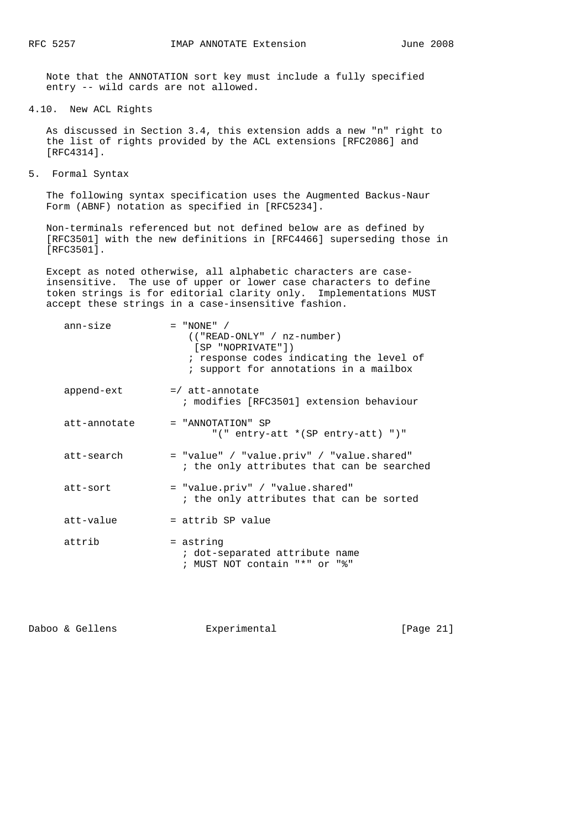Note that the ANNOTATION sort key must include a fully specified entry -- wild cards are not allowed.

4.10. New ACL Rights

 As discussed in Section 3.4, this extension adds a new "n" right to the list of rights provided by the ACL extensions [RFC2086] and [RFC4314].

5. Formal Syntax

 The following syntax specification uses the Augmented Backus-Naur Form (ABNF) notation as specified in [RFC5234].

 Non-terminals referenced but not defined below are as defined by [RFC3501] with the new definitions in [RFC4466] superseding those in [RFC3501].

 Except as noted otherwise, all alphabetic characters are case insensitive. The use of upper or lower case characters to define token strings is for editorial clarity only. Implementations MUST accept these strings in a case-insensitive fashion.

| ann-size     | $=$ "NONE" /<br>$(("READ-ONLY" / nz-number)$<br>$[SP$ "NOPRIVATE"])<br>; response codes indicating the level of<br>; support for annotations in a mailbox |
|--------------|-----------------------------------------------------------------------------------------------------------------------------------------------------------|
| append-ext   | $=$ / att-annotate<br>; modifies [RFC3501] extension behaviour                                                                                            |
| att-annotate | = "ANNOTATION" SP<br>"(" entry-att * (SP entry-att) ")"                                                                                                   |
| att-search   | = "value" / "value.priv" / "value.shared"<br>; the only attributes that can be searched                                                                   |
| att-sort     | = "value.priv" / "value.shared"<br>; the only attributes that can be sorted                                                                               |
| att-value    | = attrib SP value                                                                                                                                         |
| attrib       | = astring<br>; dot-separated attribute name<br>; MUST NOT contain "*" or "%"                                                                              |

Daboo & Gellens **Experimental** [Page 21]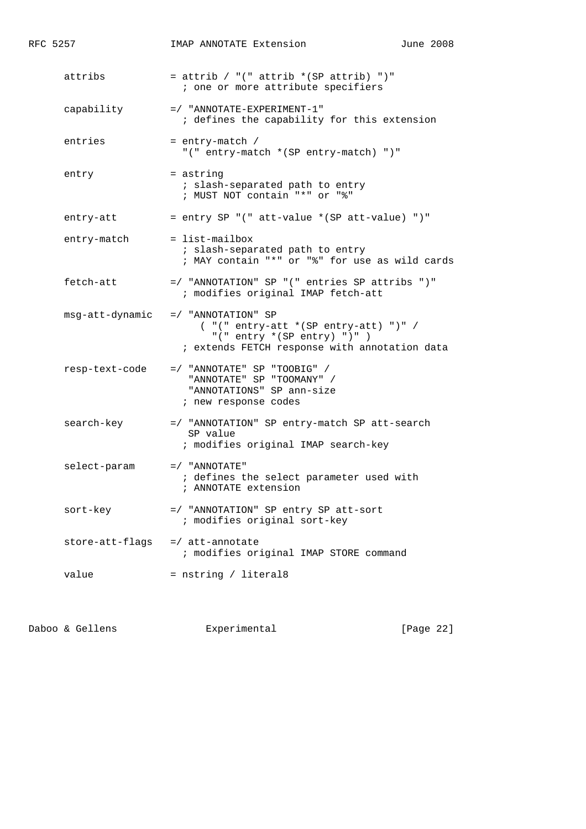| RFC 5257        | IMAP ANNOTATE Extension                                                                                                                               | June 2008 |
|-----------------|-------------------------------------------------------------------------------------------------------------------------------------------------------|-----------|
| attribs         | = attrib / "(" attrib $*(SP \text{ attrib})$ ")"<br>; one or more attribute specifiers                                                                |           |
| capability      | $=$ / "ANNOTATE-EXPERIMENT-1"<br>; defines the capability for this extension                                                                          |           |
| entries         | = entry-match /<br>"(" entry-match * (SP entry-match) ")"                                                                                             |           |
| entry           | = astring<br>; slash-separated path to entry<br>; MUST NOT contain "*" or "%"                                                                         |           |
| entry-att       | = entry SP "(" att-value * (SP att-value) ")"                                                                                                         |           |
| entry-match     | $=$ list-mailbox<br>; slash-separated path to entry<br>; MAY contain "*" or "%" for use as wild cards                                                 |           |
| fetch-att       | =/ "ANNOTATION" SP "(" entries SP attribs ")"<br>; modifies original IMAP fetch-att                                                                   |           |
| msg-att-dynamic | $= /$ "ANNOTATION" SP<br>$('''('entry-att * (SP entry-att) '')''/$<br>"(" entry $*(SP entry) " )" )$<br>; extends FETCH response with annotation data |           |
| resp-text-code  | $=$ / "ANNOTATE" SP "TOOBIG" /<br>"ANNOTATE" SP "TOOMANY" /<br>"ANNOTATIONS" SP ann-size<br>; new response codes                                      |           |
| search-key      | =/ "ANNOTATION" SP entry-match SP att-search<br>SP value<br>; modifies original IMAP search-key                                                       |           |
| select-param    | $=$ / "ANNOTATE"<br>; defines the select parameter used with<br>; ANNOTATE extension                                                                  |           |
| sort-key        | =/ "ANNOTATION" SP entry SP att-sort<br>; modifies original sort-key                                                                                  |           |
| store-att-flags | =/ att-annotate<br>; modifies original IMAP STORE command                                                                                             |           |
| value           | = nstring / literal8                                                                                                                                  |           |

Daboo & Gellens **Experimental** Experimental [Page 22]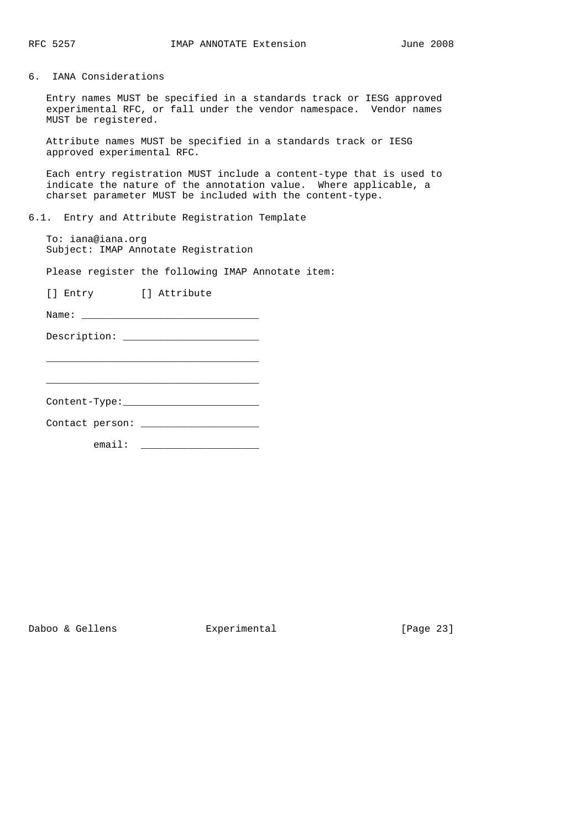6. IANA Considerations

 Entry names MUST be specified in a standards track or IESG approved experimental RFC, or fall under the vendor namespace. Vendor names MUST be registered.

 Attribute names MUST be specified in a standards track or IESG approved experimental RFC.

 Each entry registration MUST include a content-type that is used to indicate the nature of the annotation value. Where applicable, a charset parameter MUST be included with the content-type.

6.1. Entry and Attribute Registration Template

 To: iana@iana.org Subject: IMAP Annotate Registration

Please register the following IMAP Annotate item:

[] Entry [] Attribute

Name: \_\_\_\_\_\_\_\_\_\_\_\_\_\_\_\_\_\_\_\_\_\_\_\_\_\_\_\_\_\_

Description: \_\_\_\_\_\_\_\_\_\_\_\_\_\_\_\_\_\_\_\_\_\_\_

Content-Type:\_\_\_\_\_\_\_\_\_\_\_\_\_\_\_\_\_\_\_\_\_\_\_

 $\frac{1}{\sqrt{2}}$  ,  $\frac{1}{\sqrt{2}}$  ,  $\frac{1}{\sqrt{2}}$  ,  $\frac{1}{\sqrt{2}}$  ,  $\frac{1}{\sqrt{2}}$  ,  $\frac{1}{\sqrt{2}}$  ,  $\frac{1}{\sqrt{2}}$  ,  $\frac{1}{\sqrt{2}}$  ,  $\frac{1}{\sqrt{2}}$  ,  $\frac{1}{\sqrt{2}}$  ,  $\frac{1}{\sqrt{2}}$  ,  $\frac{1}{\sqrt{2}}$  ,  $\frac{1}{\sqrt{2}}$  ,  $\frac{1}{\sqrt{2}}$  ,  $\frac{1}{\sqrt{2}}$ 

\_\_\_\_\_\_\_\_\_\_\_\_\_\_\_\_\_\_\_\_\_\_\_\_\_\_\_\_\_\_\_\_\_\_\_\_

Contact person: \_\_\_\_\_\_\_\_\_\_\_\_\_\_\_\_\_\_\_\_

email: \_\_\_\_\_\_\_\_\_\_\_\_\_\_\_\_\_\_\_\_

Daboo & Gellens **Experimental** [Page 23]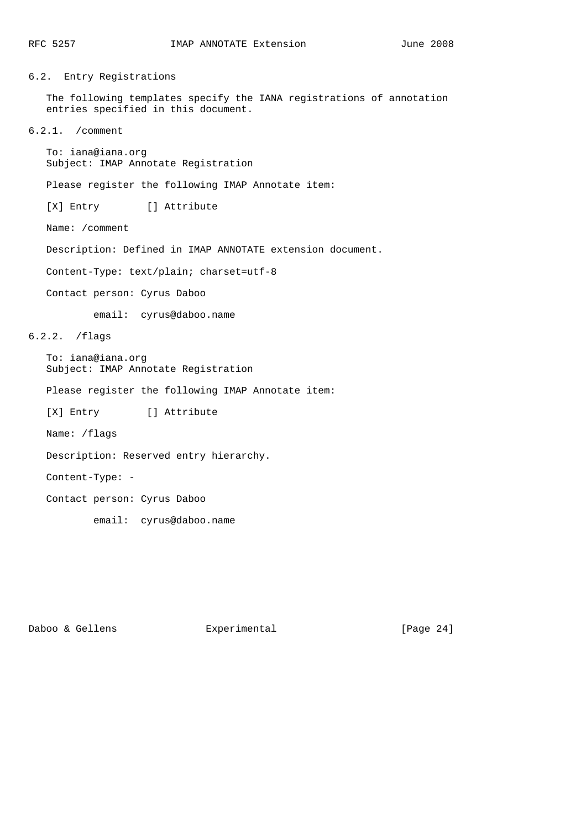6.2. Entry Registrations

 The following templates specify the IANA registrations of annotation entries specified in this document.

6.2.1. /comment

 To: iana@iana.org Subject: IMAP Annotate Registration

Please register the following IMAP Annotate item:

[X] Entry [] Attribute

Name: /comment

Description: Defined in IMAP ANNOTATE extension document.

Content-Type: text/plain; charset=utf-8

Contact person: Cyrus Daboo

email: cyrus@daboo.name

6.2.2. /flags

 To: iana@iana.org Subject: IMAP Annotate Registration

Please register the following IMAP Annotate item:

[X] Entry [] Attribute

Name: /flags

Description: Reserved entry hierarchy.

Content-Type: -

Contact person: Cyrus Daboo

email: cyrus@daboo.name

Daboo & Gellens **Experimental** [Page 24]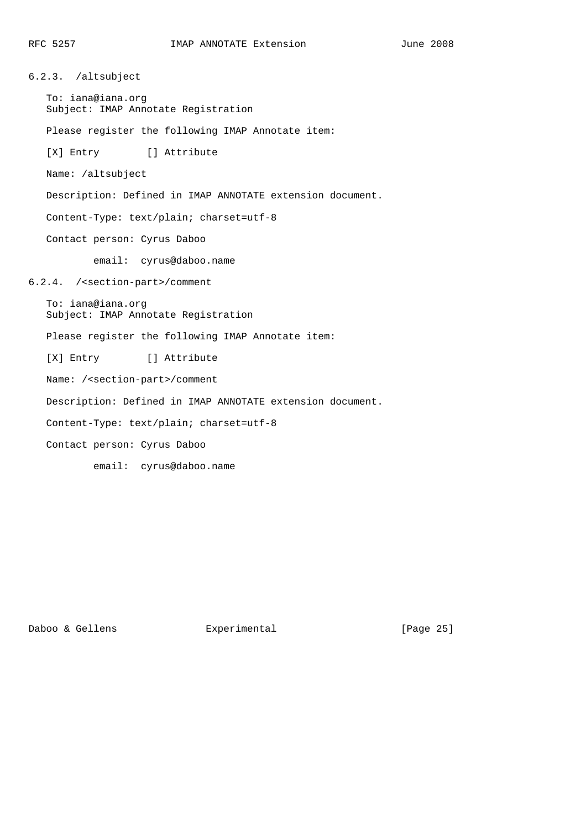6.2.3. /altsubject To: iana@iana.org Subject: IMAP Annotate Registration Please register the following IMAP Annotate item: [X] Entry [] Attribute Name: /altsubject Description: Defined in IMAP ANNOTATE extension document. Content-Type: text/plain; charset=utf-8 Contact person: Cyrus Daboo email: cyrus@daboo.name 6.2.4. /<section-part>/comment To: iana@iana.org Subject: IMAP Annotate Registration Please register the following IMAP Annotate item: [X] Entry [] Attribute Name: /<section-part>/comment Description: Defined in IMAP ANNOTATE extension document. Content-Type: text/plain; charset=utf-8 Contact person: Cyrus Daboo email: cyrus@daboo.name

Daboo & Gellens **Experimental** [Page 25]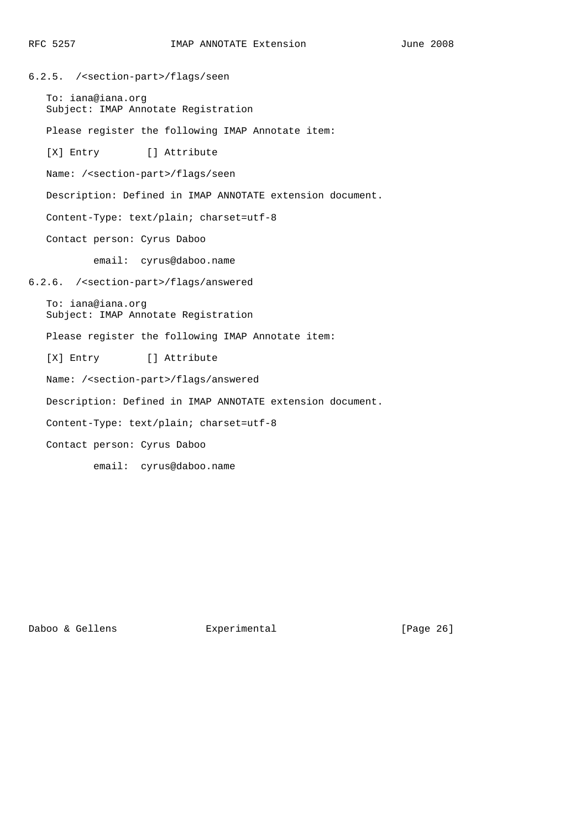6.2.5. /<section-part>/flags/seen To: iana@iana.org Subject: IMAP Annotate Registration Please register the following IMAP Annotate item: [X] Entry [] Attribute Name: /<section-part>/flags/seen Description: Defined in IMAP ANNOTATE extension document. Content-Type: text/plain; charset=utf-8 Contact person: Cyrus Daboo email: cyrus@daboo.name 6.2.6. /<section-part>/flags/answered To: iana@iana.org Subject: IMAP Annotate Registration Please register the following IMAP Annotate item: [X] Entry [] Attribute Name: /<section-part>/flags/answered Description: Defined in IMAP ANNOTATE extension document. Content-Type: text/plain; charset=utf-8 Contact person: Cyrus Daboo email: cyrus@daboo.name

Daboo & Gellens **Experimental** [Page 26]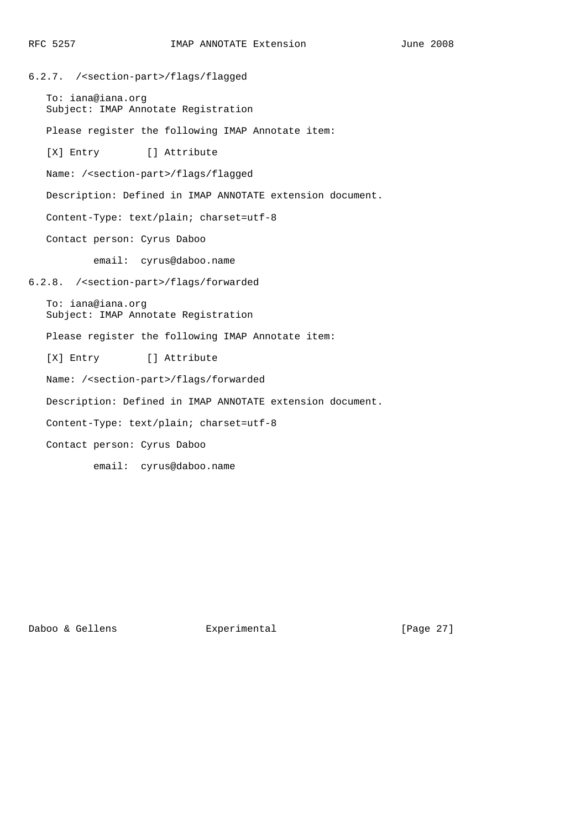6.2.7. /<section-part>/flags/flagged To: iana@iana.org Subject: IMAP Annotate Registration Please register the following IMAP Annotate item: [X] Entry [] Attribute Name: /<section-part>/flags/flagged Description: Defined in IMAP ANNOTATE extension document. Content-Type: text/plain; charset=utf-8 Contact person: Cyrus Daboo email: cyrus@daboo.name 6.2.8. /<section-part>/flags/forwarded To: iana@iana.org Subject: IMAP Annotate Registration Please register the following IMAP Annotate item: [X] Entry [] Attribute Name: /<section-part>/flags/forwarded Description: Defined in IMAP ANNOTATE extension document. Content-Type: text/plain; charset=utf-8 Contact person: Cyrus Daboo email: cyrus@daboo.name

Daboo & Gellens **Experimental** [Page 27]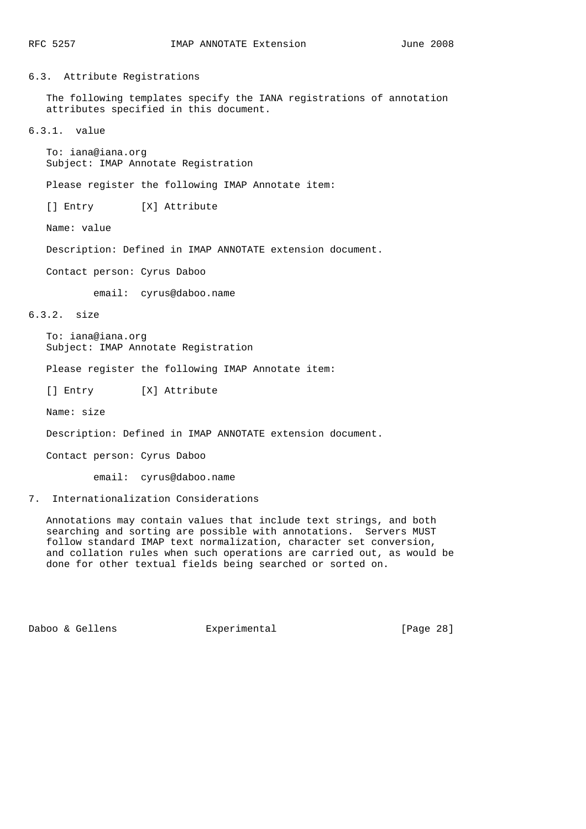# 6.3. Attribute Registrations

 The following templates specify the IANA registrations of annotation attributes specified in this document.

6.3.1. value

 To: iana@iana.org Subject: IMAP Annotate Registration

Please register the following IMAP Annotate item:

[] Entry [X] Attribute

Name: value

Description: Defined in IMAP ANNOTATE extension document.

Contact person: Cyrus Daboo

email: cyrus@daboo.name

# 6.3.2. size

 To: iana@iana.org Subject: IMAP Annotate Registration

Please register the following IMAP Annotate item:

[] Entry [X] Attribute

Name: size

Description: Defined in IMAP ANNOTATE extension document.

Contact person: Cyrus Daboo

email: cyrus@daboo.name

# 7. Internationalization Considerations

 Annotations may contain values that include text strings, and both searching and sorting are possible with annotations. Servers MUST follow standard IMAP text normalization, character set conversion, and collation rules when such operations are carried out, as would be done for other textual fields being searched or sorted on.

Daboo & Gellens **Experimental** [Page 28]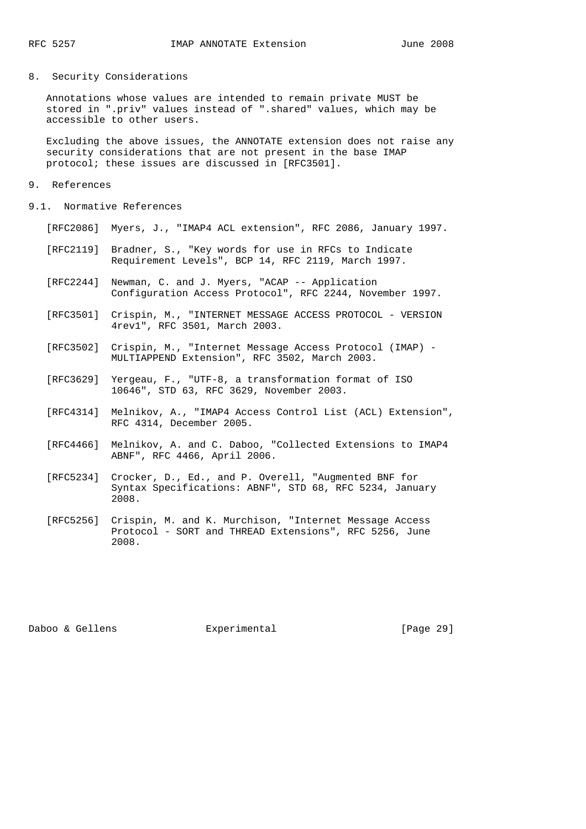# 8. Security Considerations

 Annotations whose values are intended to remain private MUST be stored in ".priv" values instead of ".shared" values, which may be accessible to other users.

 Excluding the above issues, the ANNOTATE extension does not raise any security considerations that are not present in the base IMAP protocol; these issues are discussed in [RFC3501].

### 9. References

- 9.1. Normative References
	- [RFC2086] Myers, J., "IMAP4 ACL extension", RFC 2086, January 1997.
	- [RFC2119] Bradner, S., "Key words for use in RFCs to Indicate Requirement Levels", BCP 14, RFC 2119, March 1997.
- [RFC2244] Newman, C. and J. Myers, "ACAP -- Application Configuration Access Protocol", RFC 2244, November 1997.
	- [RFC3501] Crispin, M., "INTERNET MESSAGE ACCESS PROTOCOL VERSION 4rev1", RFC 3501, March 2003.
	- [RFC3502] Crispin, M., "Internet Message Access Protocol (IMAP) MULTIAPPEND Extension", RFC 3502, March 2003.
	- [RFC3629] Yergeau, F., "UTF-8, a transformation format of ISO 10646", STD 63, RFC 3629, November 2003.
	- [RFC4314] Melnikov, A., "IMAP4 Access Control List (ACL) Extension", RFC 4314, December 2005.
	- [RFC4466] Melnikov, A. and C. Daboo, "Collected Extensions to IMAP4 ABNF", RFC 4466, April 2006.
	- [RFC5234] Crocker, D., Ed., and P. Overell, "Augmented BNF for Syntax Specifications: ABNF", STD 68, RFC 5234, January 2008.
	- [RFC5256] Crispin, M. and K. Murchison, "Internet Message Access Protocol - SORT and THREAD Extensions", RFC 5256, June 2008.

Daboo & Gellens Experimental [Page 29]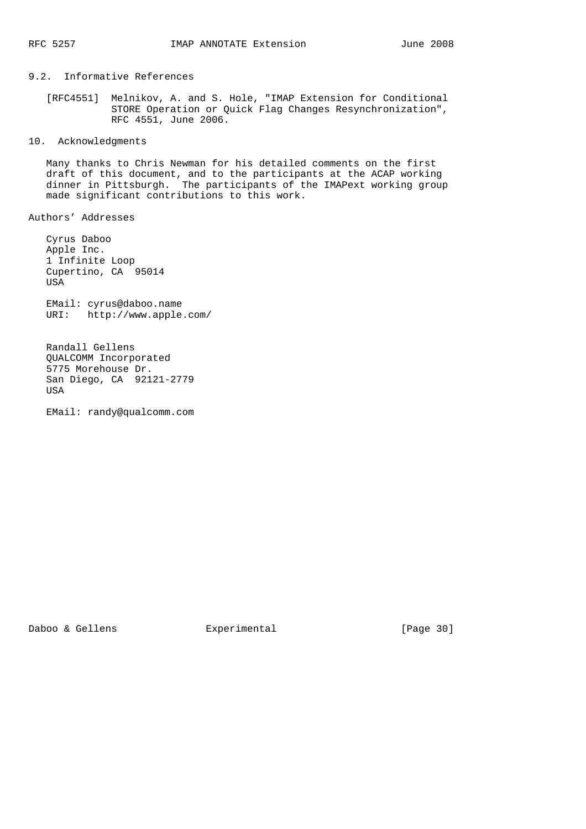# 9.2. Informative References

 [RFC4551] Melnikov, A. and S. Hole, "IMAP Extension for Conditional STORE Operation or Quick Flag Changes Resynchronization", RFC 4551, June 2006.

# 10. Acknowledgments

 Many thanks to Chris Newman for his detailed comments on the first draft of this document, and to the participants at the ACAP working dinner in Pittsburgh. The participants of the IMAPext working group made significant contributions to this work.

Authors' Addresses

 Cyrus Daboo Apple Inc. 1 Infinite Loop Cupertino, CA 95014 USA EMail: cyrus@daboo.name URI: http://www.apple.com/

 Randall Gellens QUALCOMM Incorporated 5775 Morehouse Dr. San Diego, CA 92121-2779 **USA** 

EMail: randy@qualcomm.com

Daboo & Gellens **Experimental** [Page 30]